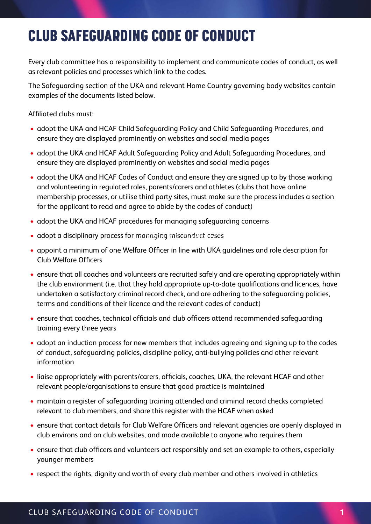## 1. CLUB SAFEGUARDING CODE OF CONDUCT CLUB SAFEGUARDING CODE OF CONDUCT

Every club committee has a responsibility to implement and communicate codes of conduct, as well as relevant policies and processes which link to the codes.

The Safeguarding section of the UKA and relevant Home Country governing body websites contain examples of the documents listed below.

Affiliated clubs must:

- adopt the UKA and HCAF Child Safeguarding Policy and Child Safeguarding Procedures, and ensure they are displayed prominently on websites and social media pages
- adopt the UKA and HCAF Adult Safeguarding Policy and Adult Safeguarding Procedures, and ensure they are displayed prominently on websites and social media pages
- adopt the UKA and HCAF Codes of Conduct and ensure they are signed up to by those working and volunteering in regulated roles, parents/carers and athletes (clubs that have online membership processes, or utilise third party sites, must make sure the process includes a section for the applicant to read and agree to abide by the codes of conduct)
- adopt the UKA and HCAF procedures for managing safeguarding concerns
- $\bullet$  adopt a disciplinary process for managing misconduct cases
- appoint a minimum of one Welfare Officer in line with UKA guidelines and role description for Club Welfare Officers
- ensure that all coaches and volunteers are recruited safely and are operating appropriately within the club environment (i.e. that they hold appropriate up-to-date qualifications and licences, have undertaken a satisfactory criminal record check, and are adhering to the safeguarding policies, terms and conditions of their licence and the relevant codes of conduct)
- ensure that coaches, technical officials and club officers attend recommended safeguarding training every three years
- adopt an induction process for new members that includes agreeing and signing up to the codes of conduct, safeguarding policies, discipline policy, anti-bullying policies and other relevant information
- liaise appropriately with parents/carers, officials, coaches, UKA, the relevant HCAF and other relevant people/organisations to ensure that good practice is maintained
- maintain a register of safeguarding training attended and criminal record checks completed relevant to club members, and share this register with the HCAF when asked
- ensure that contact details for Club Welfare Officers and relevant agencies are openly displayed in club environs and on club websites, and made available to anyone who requires them
- ensure that club officers and volunteers act responsibly and set an example to others, especially younger members
- respect the rights, dignity and worth of every club member and others involved in athletics